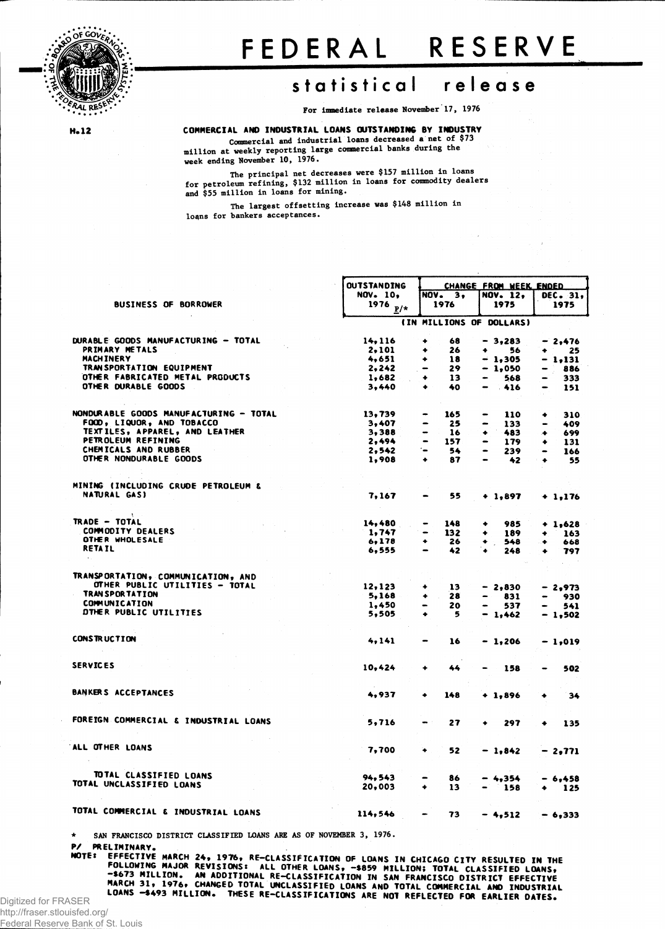

## **FEDERA L RESERV E**

## **statistica l releas e**

**For immediate release November 17, 1976**

H.12

**COMMERCIAL AND INDUSTRIAL LOANS OUTSTANDING BY INDUSTRY Commercial and industrial loans decreased a net of \$73 million at weekly reporting large commercial banks during the week ending November 10, 1976.**

**The principal net decreases were \$157 million in loans for petroleum refining, \$132 million in loans for commodity dealers and \$55 million in loans for mining.**

**The largest offsetting increase was \$148 million in loans for bankers acceptances.**

|                                        | <b>OUTSTANDING</b> | CHANGE FROM WEEK ENDED             |                 |                   |  |  |  |  |
|----------------------------------------|--------------------|------------------------------------|-----------------|-------------------|--|--|--|--|
|                                        | <b>NOV. 10.</b>    | <b>NOV.</b> 3.                     | <b>NOV. 12,</b> | DEC. 31,          |  |  |  |  |
| <b>BUSINESS OF BORROWER</b>            | 1976 $_{P/*}$      | 1976                               | 1975            | 1975              |  |  |  |  |
|                                        |                    | (IN MILLIONS OF DOLLARS)           |                 |                   |  |  |  |  |
| DURABLE GOODS MANUFACTURING - TOTAL    | 14, 116            | 68<br>۰                            | $-3,283$        | $-2,476$          |  |  |  |  |
| PRIMARY METALS                         | 2,101              | 26<br>۰                            | ۰<br>56         | 25<br>$\bullet$ . |  |  |  |  |
| <b>MACHINERY</b>                       | 4,651              | 18<br>۰                            | $-1.305$        | - 1,131           |  |  |  |  |
| TRAN SPORTATION EQUIPMENT              | 2, 242             | 29<br>$\qquad \qquad \blacksquare$ | $-1,050$        | 886               |  |  |  |  |
| OTHER FABRICATED METAL PRODUCTS        | 1,682              | 13<br>۰                            | 568             | 333               |  |  |  |  |
| OTHER DURABLE GOODS                    | 3.440              | 40<br>٠                            | $-416$          | 151               |  |  |  |  |
|                                        |                    |                                    |                 |                   |  |  |  |  |
| NONDURABLE GOODS MANUFACTURING - TOTAL | 13,739             | 165                                | 110             | ۰<br>310          |  |  |  |  |
| FOOD, LIQUOR, AND TOBACCO              | 3,407              | 25                                 | 133             | 409               |  |  |  |  |
| TEXTILES, APPAREL, AND LEATHER         | 3,388              | 16                                 | 483<br>۰        | 699<br>۰          |  |  |  |  |
| PETROLEUM REFINING                     | 2,494              | $\overline{\phantom{0}}$<br>157    | 179             | 131<br>۰          |  |  |  |  |
| CHEMICALS AND RUBBER                   | 2, 542             | ۰.<br>54                           | 239             | 166<br>$\bullet$  |  |  |  |  |
| OTHER NONDURABLE GOODS                 | 1,908              | ٠<br>87                            | 42              | 55<br>$\bullet$   |  |  |  |  |
| MINING (INCLUDING CRUDE PETROLEUM &    |                    |                                    |                 |                   |  |  |  |  |
| NATURAL GAS)                           | 7, 167             | 55                                 |                 |                   |  |  |  |  |
|                                        |                    |                                    | $+1,897$        | $+1,176$          |  |  |  |  |
| TRADE - TOTAL                          | 14,480             | 148                                | 985<br>۰        |                   |  |  |  |  |
| <b>COMMODITY DEALERS</b>               |                    | $\qquad \qquad \blacksquare$       |                 | $+ 1,628$         |  |  |  |  |
| OTHER WHOLESALE                        | 1,747<br>6,178     | 132<br>26<br>٠                     | 189<br>۰        | 163<br>۰          |  |  |  |  |
| <b>RETAIL</b>                          | 6,555              | $\blacksquare$                     | 548<br>٠        | 668<br>٠          |  |  |  |  |
| $\mathbf{h}$ .                         |                    | 42                                 | 248             | 797<br>۰          |  |  |  |  |
| TRANSPORTATION, COMMUNICATION, AND     |                    |                                    |                 |                   |  |  |  |  |
| OTHER PUBLIC UTILITIES - TOTAL         | 12,123             | 13<br>۰                            | $-2,830$        | - 2,973           |  |  |  |  |
| <b>TRAN SPORTATION</b>                 | 5,168              | 28<br>۰                            | 831             | 930               |  |  |  |  |
| <b>COMMUNICATION</b>                   | 1,450              | 20                                 |                 |                   |  |  |  |  |
| DTHER PUBLIC UTILITIES                 | 5,505              | 5                                  | 537             | 541               |  |  |  |  |
|                                        |                    |                                    | $-1,462$        | - 1,502           |  |  |  |  |
| <b>CONSTRUCTION</b>                    | 4,141              | 16                                 | $-1,206$        | - 1,019           |  |  |  |  |
|                                        |                    |                                    |                 |                   |  |  |  |  |
| <b>SERVICES</b>                        | 10,424             | ۰<br>44                            | 158             | 502               |  |  |  |  |
|                                        |                    |                                    |                 |                   |  |  |  |  |
| BANKERS ACCEPTANCES                    | 4.937              | 148<br>٠                           | $+1,896$        | 34<br>۰           |  |  |  |  |
|                                        |                    |                                    |                 |                   |  |  |  |  |
| FOREIGN COMMERCIAL & INDUSTRIAL LOANS  | 5,716              | 27                                 | 297             | 135<br>۰          |  |  |  |  |
| ALL OTHER LOANS                        |                    |                                    |                 |                   |  |  |  |  |
|                                        | 7,700              | 52<br>٠                            | $-1,842$        | - 2,771           |  |  |  |  |
| TOTAL CLASSIFIED LOANS                 | 94,543             | 86                                 | $-4,354$        | - 6,458           |  |  |  |  |
| TOTAL UNCLASSIFIED LOANS               | 20,003             | 13<br>۰                            | 158             | 125               |  |  |  |  |
|                                        |                    |                                    |                 |                   |  |  |  |  |
| TOTAL COMMERCIAL & INDUSTRIAL LOANS    | 114,546            | 73                                 | $-4,512$        | $-6,333$          |  |  |  |  |
|                                        |                    |                                    |                 |                   |  |  |  |  |

**\* SAN FRANCISCO DISTRICT CLASSIFIED LOANS ARE AS OF NOVEMBER 3, 1976.**

**P/ PRELIMINARY,**

WUTER EPHILITIVE MARCH 24, 1976, RE-CLASSIFICATION OF LOANS IN CHICAGO CITY RESULTED IN THE<br>FOLLOWING MAJOR REVISIONS: ALL OTHER LOANS, -\$873 MILLION, AN ADDITIONAL RE-CLASSIFICATION, TOTAL CLASSIFIED LOANS,<br>MARCH 31, 1976 **LOANS -\$493 MILLION. THESE RE-CLASSIFICATIONS ARE NOT REFLECTED FOR EARLIER DATES.**